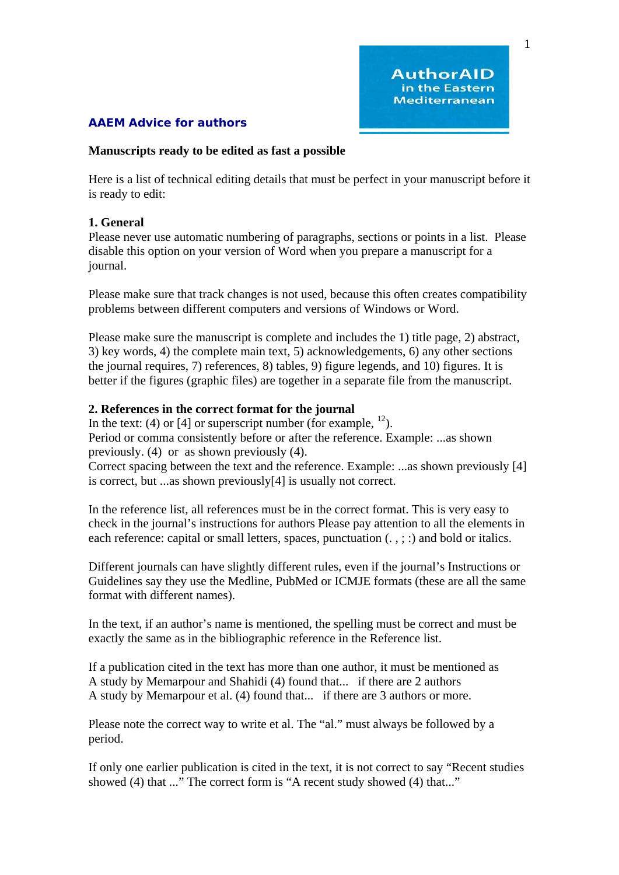1

# **AAEM Advice for authors**

### **Manuscripts ready to be edited as fast a possible**

Here is a list of technical editing details that must be perfect in your manuscript before it is ready to edit:

## **1. General**

Please never use automatic numbering of paragraphs, sections or points in a list. Please disable this option on your version of Word when you prepare a manuscript for a journal.

Please make sure that track changes is not used, because this often creates compatibility problems between different computers and versions of Windows or Word.

Please make sure the manuscript is complete and includes the 1) title page, 2) abstract, 3) key words, 4) the complete main text, 5) acknowledgements, 6) any other sections the journal requires, 7) references, 8) tables, 9) figure legends, and 10) figures. It is better if the figures (graphic files) are together in a separate file from the manuscript.

# **2. References in the correct format for the journal**

In the text: (4) or [4] or superscript number (for example,  $^{12}$ ). Period or comma consistently before or after the reference. Example: ...as shown previously. (4) or as shown previously (4).

Correct spacing between the text and the reference. Example: ...as shown previously [4] is correct, but ...as shown previously[4] is usually not correct.

In the reference list, all references must be in the correct format. This is very easy to check in the journal's instructions for authors Please pay attention to all the elements in each reference: capital or small letters, spaces, punctuation  $(., ; :)$  and bold or italics.

Different journals can have slightly different rules, even if the journal's Instructions or Guidelines say they use the Medline, PubMed or ICMJE formats (these are all the same format with different names).

In the text, if an author's name is mentioned, the spelling must be correct and must be exactly the same as in the bibliographic reference in the Reference list.

If a publication cited in the text has more than one author, it must be mentioned as A study by Memarpour and Shahidi (4) found that... if there are 2 authors A study by Memarpour et al. (4) found that... if there are 3 authors or more.

Please note the correct way to write et al. The "al." must always be followed by a period.

If only one earlier publication is cited in the text, it is not correct to say "Recent studies showed (4) that ..." The correct form is "A recent study showed (4) that..."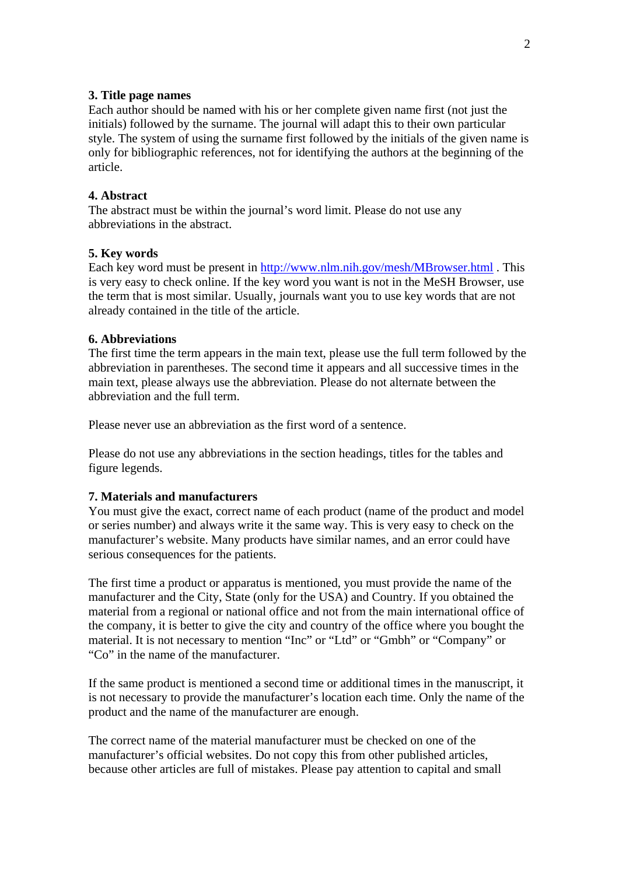#### **3. Title page names**

Each author should be named with his or her complete given name first (not just the initials) followed by the surname. The journal will adapt this to their own particular style. The system of using the surname first followed by the initials of the given name is only for bibliographic references, not for identifying the authors at the beginning of the article.

#### **4. Abstract**

The abstract must be within the journal's word limit. Please do not use any abbreviations in the abstract.

### **5. Key words**

Each key word must be present in http://www.nlm.nih.gov/mesh/MBrowser.html. This is very easy to check online. If the key word you want is not in the MeSH Browser, use the term that is most similar. Usually, journals want you to use key words that are not already contained in the title of the article.

### **6. Abbreviations**

The first time the term appears in the main text, please use the full term followed by the abbreviation in parentheses. The second time it appears and all successive times in the main text, please always use the abbreviation. Please do not alternate between the abbreviation and the full term.

Please never use an abbreviation as the first word of a sentence.

Please do not use any abbreviations in the section headings, titles for the tables and figure legends.

## **7. Materials and manufacturers**

You must give the exact, correct name of each product (name of the product and model or series number) and always write it the same way. This is very easy to check on the manufacturer's website. Many products have similar names, and an error could have serious consequences for the patients.

The first time a product or apparatus is mentioned, you must provide the name of the manufacturer and the City, State (only for the USA) and Country. If you obtained the material from a regional or national office and not from the main international office of the company, it is better to give the city and country of the office where you bought the material. It is not necessary to mention "Inc" or "Ltd" or "Gmbh" or "Company" or "Co" in the name of the manufacturer.

If the same product is mentioned a second time or additional times in the manuscript, it is not necessary to provide the manufacturer's location each time. Only the name of the product and the name of the manufacturer are enough.

The correct name of the material manufacturer must be checked on one of the manufacturer's official websites. Do not copy this from other published articles, because other articles are full of mistakes. Please pay attention to capital and small